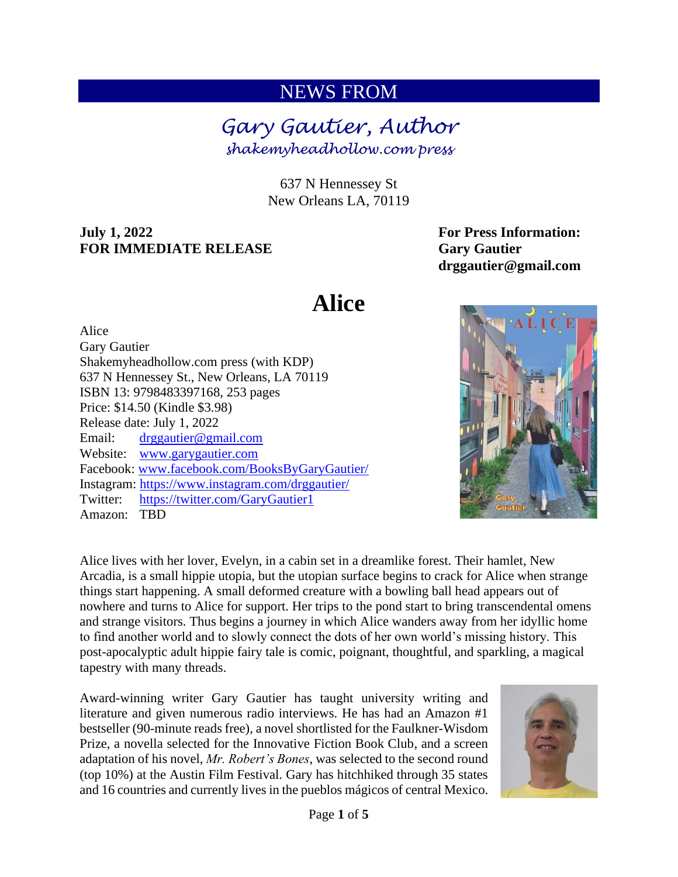### NEWS FROM

*Gary Gautier, Author shakemyheadhollow.com press* 

> 637 N Hennessey St New Orleans LA, 70119

#### **July 1, 2022 For Press Information: FOR IMMEDIATE RELEASE Gary Gautier**

**drggautier@gmail.com**

### **Alice**

Alice Gary Gautier Shakemyheadhollow.com press (with KDP) 637 N Hennessey St., New Orleans, LA 70119 ISBN 13: 9798483397168, 253 pages Price: \$14.50 (Kindle \$3.98) Release date: July 1, 2022 Email: [drggautier@gmail.com](mailto:drggautier@gmail.com) Website: [www.garygautier.com](http://www.garygautier.com/) Facebook: [www.facebook.com/BooksByGaryGautier/](http://www.facebook.com/BooksByGaryGautier/) Instagram:<https://www.instagram.com/drggautier/> Twitter: <https://twitter.com/GaryGautier1> Amazon: TBD



Alice lives with her lover, Evelyn, in a cabin set in a dreamlike forest. Their hamlet, New Arcadia, is a small hippie utopia, but the utopian surface begins to crack for Alice when strange things start happening. A small deformed creature with a bowling ball head appears out of nowhere and turns to Alice for support. Her trips to the pond start to bring transcendental omens and strange visitors. Thus begins a journey in which Alice wanders away from her idyllic home to find another world and to slowly connect the dots of her own world's missing history. This post-apocalyptic adult hippie fairy tale is comic, poignant, thoughtful, and sparkling, a magical tapestry with many threads.

Award-winning writer Gary Gautier has taught university writing and literature and given numerous radio interviews. He has had an Amazon #1 bestseller (90-minute reads free), a novel shortlisted for the Faulkner-Wisdom Prize, a novella selected for the Innovative Fiction Book Club, and a screen adaptation of his novel, *Mr. Robert's Bones*, was selected to the second round (top 10%) at the Austin Film Festival. Gary has hitchhiked through 35 states and 16 countries and currently lives in the pueblos mágicos of central Mexico.

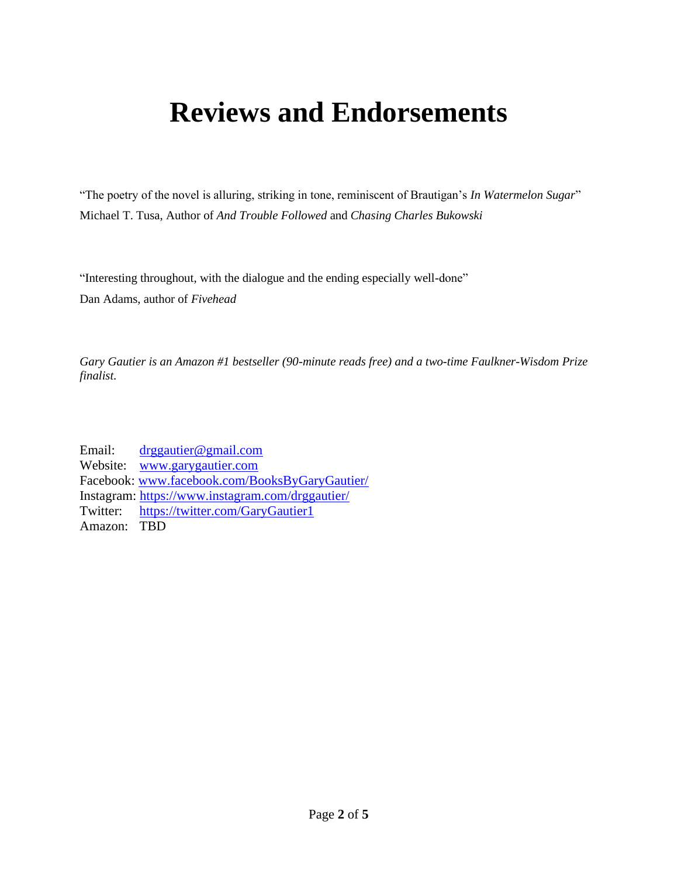## **Reviews and Endorsements**

"The poetry of the novel is alluring, striking in tone, reminiscent of Brautigan's *In Watermelon Sugar*" Michael T. Tusa, Author of *And Trouble Followed* and *Chasing Charles Bukowski*

"Interesting throughout, with the dialogue and the ending especially well-done"

Dan Adams, author of *Fivehead*

*Gary Gautier is an Amazon #1 bestseller (90-minute reads free) and a two-time Faulkner-Wisdom Prize finalist.*

Email: [drggautier@gmail.com](mailto:drggautier@gmail.com) Website: [www.garygautier.com](http://www.garygautier.com/) Facebook: [www.facebook.com/BooksByGaryGautier/](http://www.facebook.com/BooksByGaryGautier/) Instagram:<https://www.instagram.com/drggautier/> Twitter: <https://twitter.com/GaryGautier1> Amazon: TBD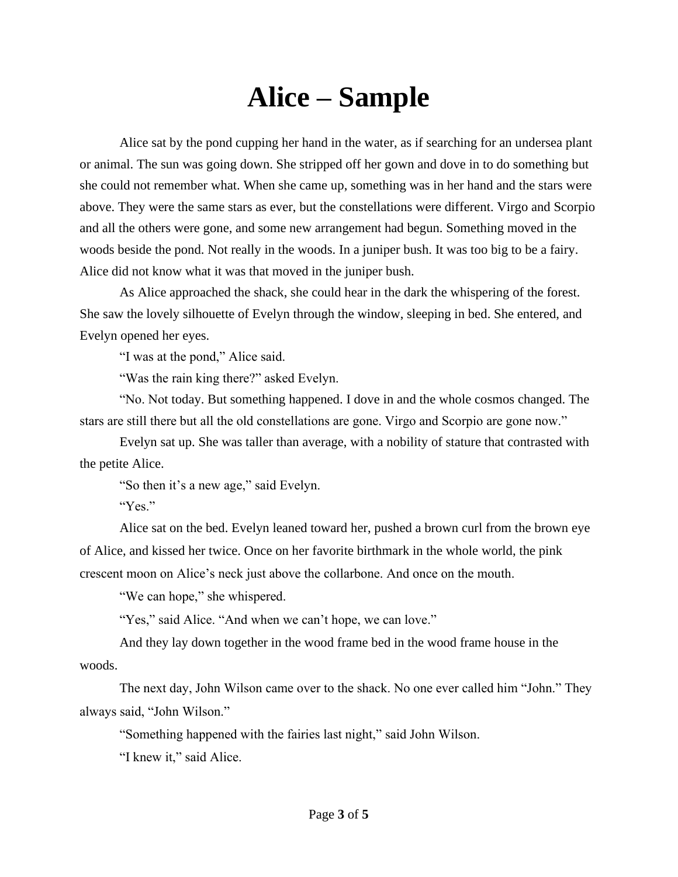# **Alice – Sample**

Alice sat by the pond cupping her hand in the water, as if searching for an undersea plant or animal. The sun was going down. She stripped off her gown and dove in to do something but she could not remember what. When she came up, something was in her hand and the stars were above. They were the same stars as ever, but the constellations were different. Virgo and Scorpio and all the others were gone, and some new arrangement had begun. Something moved in the woods beside the pond. Not really in the woods. In a juniper bush. It was too big to be a fairy. Alice did not know what it was that moved in the juniper bush.

As Alice approached the shack, she could hear in the dark the whispering of the forest. She saw the lovely silhouette of Evelyn through the window, sleeping in bed. She entered, and Evelyn opened her eyes.

"I was at the pond," Alice said.

"Was the rain king there?" asked Evelyn.

"No. Not today. But something happened. I dove in and the whole cosmos changed. The stars are still there but all the old constellations are gone. Virgo and Scorpio are gone now."

Evelyn sat up. She was taller than average, with a nobility of stature that contrasted with the petite Alice.

"So then it's a new age," said Evelyn.

"Yes."

Alice sat on the bed. Evelyn leaned toward her, pushed a brown curl from the brown eye of Alice, and kissed her twice. Once on her favorite birthmark in the whole world, the pink crescent moon on Alice's neck just above the collarbone. And once on the mouth.

"We can hope," she whispered.

"Yes," said Alice. "And when we can't hope, we can love."

And they lay down together in the wood frame bed in the wood frame house in the woods.

The next day, John Wilson came over to the shack. No one ever called him "John." They always said, "John Wilson."

"Something happened with the fairies last night," said John Wilson.

"I knew it," said Alice.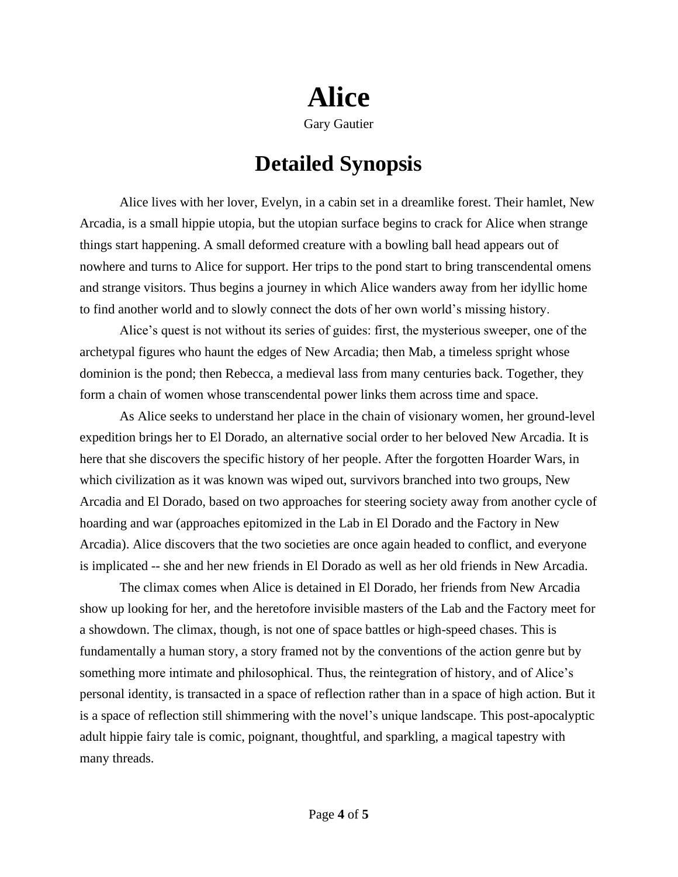## **Alice**

Gary Gautier

### **Detailed Synopsis**

Alice lives with her lover, Evelyn, in a cabin set in a dreamlike forest. Their hamlet, New Arcadia, is a small hippie utopia, but the utopian surface begins to crack for Alice when strange things start happening. A small deformed creature with a bowling ball head appears out of nowhere and turns to Alice for support. Her trips to the pond start to bring transcendental omens and strange visitors. Thus begins a journey in which Alice wanders away from her idyllic home to find another world and to slowly connect the dots of her own world's missing history.

Alice's quest is not without its series of guides: first, the mysterious sweeper, one of the archetypal figures who haunt the edges of New Arcadia; then Mab, a timeless spright whose dominion is the pond; then Rebecca, a medieval lass from many centuries back. Together, they form a chain of women whose transcendental power links them across time and space.

As Alice seeks to understand her place in the chain of visionary women, her ground-level expedition brings her to El Dorado, an alternative social order to her beloved New Arcadia. It is here that she discovers the specific history of her people. After the forgotten Hoarder Wars, in which civilization as it was known was wiped out, survivors branched into two groups, New Arcadia and El Dorado, based on two approaches for steering society away from another cycle of hoarding and war (approaches epitomized in the Lab in El Dorado and the Factory in New Arcadia). Alice discovers that the two societies are once again headed to conflict, and everyone is implicated -- she and her new friends in El Dorado as well as her old friends in New Arcadia.

The climax comes when Alice is detained in El Dorado, her friends from New Arcadia show up looking for her, and the heretofore invisible masters of the Lab and the Factory meet for a showdown. The climax, though, is not one of space battles or high-speed chases. This is fundamentally a human story, a story framed not by the conventions of the action genre but by something more intimate and philosophical. Thus, the reintegration of history, and of Alice's personal identity, is transacted in a space of reflection rather than in a space of high action. But it is a space of reflection still shimmering with the novel's unique landscape. This post-apocalyptic adult hippie fairy tale is comic, poignant, thoughtful, and sparkling, a magical tapestry with many threads.